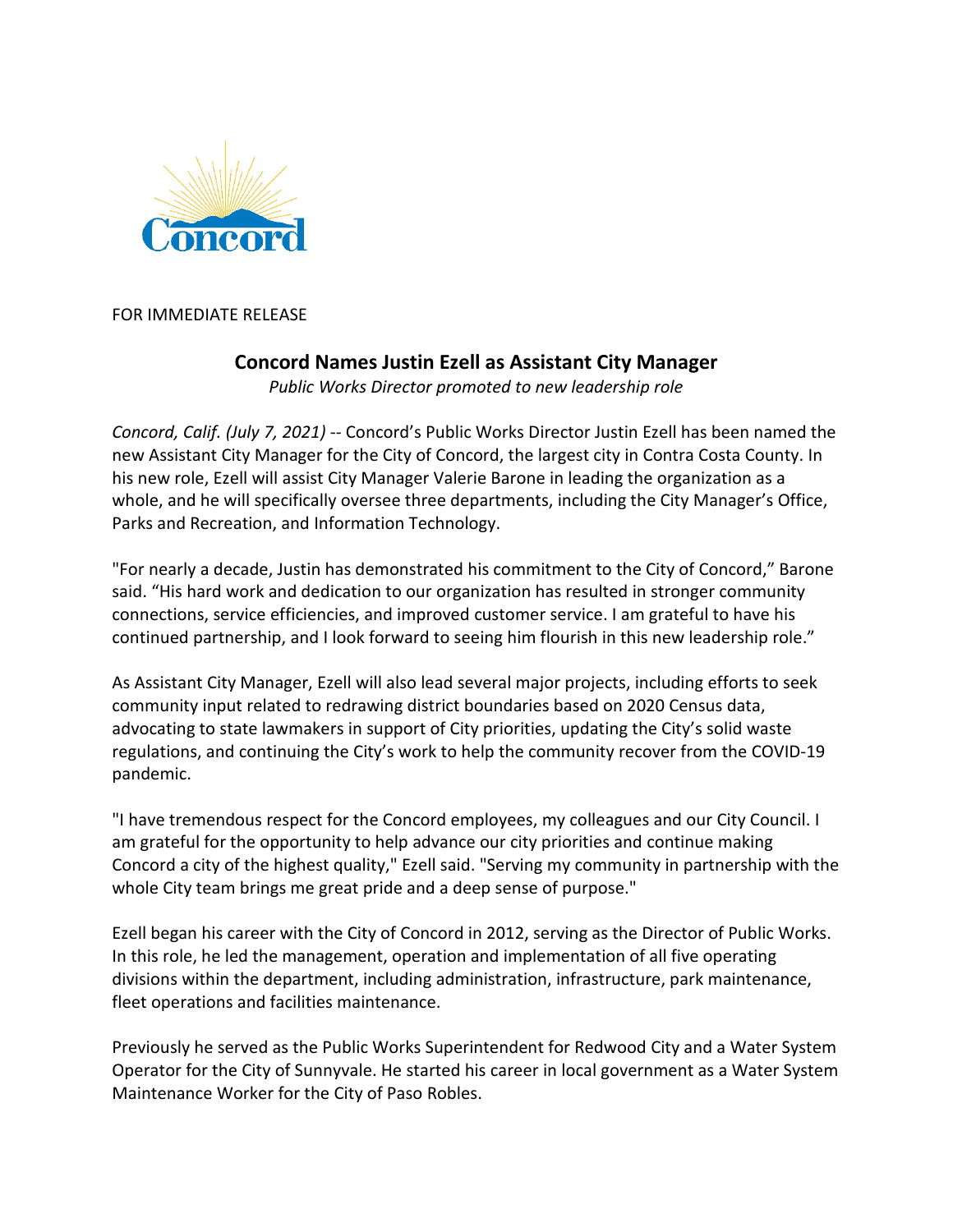

FOR IMMEDIATE RELEASE

## **Concord Names Justin Ezell as Assistant City Manager**

*Public Works Director promoted to new leadership role*

*Concord, Calif. (July 7, 2021)* -- Concord's Public Works Director Justin Ezell has been named the new Assistant City Manager for the City of Concord, the largest city in Contra Costa County. In his new role, Ezell will assist City Manager Valerie Barone in leading the organization as a whole, and he will specifically oversee three departments, including the City Manager's Office, Parks and Recreation, and Information Technology.

"For nearly a decade, Justin has demonstrated his commitment to the City of Concord," Barone said. "His hard work and dedication to our organization has resulted in stronger community connections, service efficiencies, and improved customer service. I am grateful to have his continued partnership, and I look forward to seeing him flourish in this new leadership role."

As Assistant City Manager, Ezell will also lead several major projects, including efforts to seek community input related to redrawing district boundaries based on 2020 Census data, advocating to state lawmakers in support of City priorities, updating the City's solid waste regulations, and continuing the City's work to help the community recover from the COVID-19 pandemic.

"I have tremendous respect for the Concord employees, my colleagues and our City Council. I am grateful for the opportunity to help advance our city priorities and continue making Concord a city of the highest quality," Ezell said. "Serving my community in partnership with the whole City team brings me great pride and a deep sense of purpose."

Ezell began his career with the City of Concord in 2012, serving as the Director of Public Works. In this role, he led the management, operation and implementation of all five operating divisions within the department, including administration, infrastructure, park maintenance, fleet operations and facilities maintenance.

Previously he served as the Public Works Superintendent for Redwood City and a Water System Operator for the City of Sunnyvale. He started his career in local government as a Water System Maintenance Worker for the City of Paso Robles.